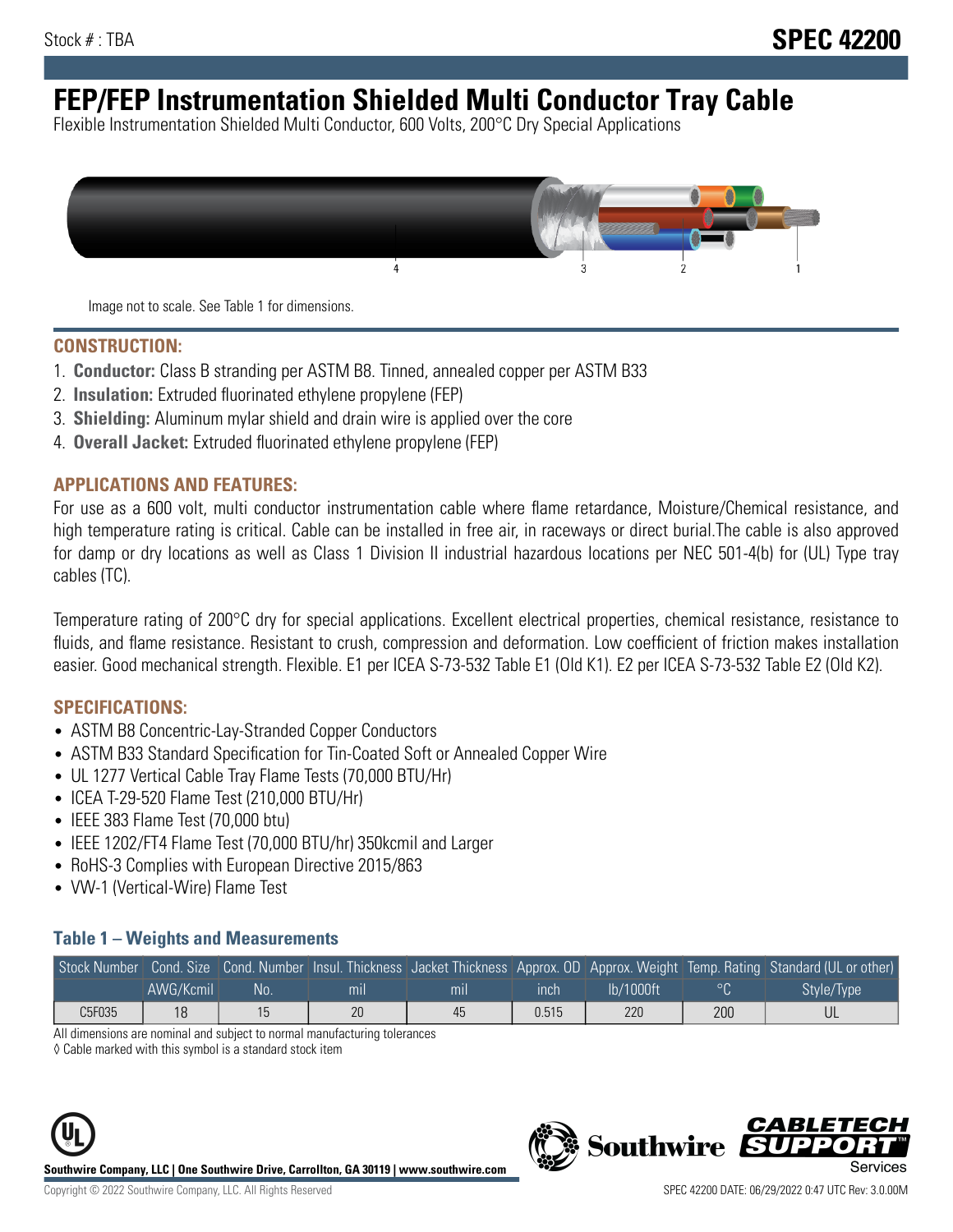# **FEP/FEP Instrumentation Shielded Multi Conductor Tray Cable**

Flexible Instrumentation Shielded Multi Conductor, 600 Volts, 200°C Dry Special Applications



Image not to scale. See Table 1 for dimensions.

#### **CONSTRUCTION:**

- 1. **Conductor:** Class B stranding per ASTM B8. Tinned, annealed copper per ASTM B33
- 2. **Insulation:** Extruded fluorinated ethylene propylene (FEP)
- 3. **Shielding:** Aluminum mylar shield and drain wire is applied over the core
- 4. **Overall Jacket:** Extruded fluorinated ethylene propylene (FEP)

#### **APPLICATIONS AND FEATURES:**

For use as a 600 volt, multi conductor instrumentation cable where flame retardance, Moisture/Chemical resistance, and high temperature rating is critical. Cable can be installed in free air, in raceways or direct burial.The cable is also approved for damp or dry locations as well as Class 1 Division II industrial hazardous locations per NEC 501-4(b) for (UL) Type tray cables (TC).

Temperature rating of 200°C dry for special applications. Excellent electrical properties, chemical resistance, resistance to fluids, and flame resistance. Resistant to crush, compression and deformation. Low coefficient of friction makes installation easier. Good mechanical strength. Flexible. E1 per ICEA S-73-532 Table E1 (Old K1). E2 per ICEA S-73-532 Table E2 (Old K2).

#### **SPECIFICATIONS:**

- ASTM B8 Concentric-Lay-Stranded Copper Conductors
- ASTM B33 Standard Specification for Tin-Coated Soft or Annealed Copper Wire
- UL 1277 Vertical Cable Tray Flame Tests (70,000 BTU/Hr)
- ICEA T-29-520 Flame Test (210,000 BTU/Hr)
- IEEE 383 Flame Test (70,000 btu)
- IEEE 1202/FT4 Flame Test (70,000 BTU/hr) 350kcmil and Larger
- RoHS-3 Complies with European Directive 2015/863
- VW-1 (Vertical-Wire) Flame Test

#### **Table 1 – Weights and Measurements**

|        |           |    |                |     |             |           |     | Stock Number Cond. Size Cond. Number Insul. Thickness Jacket Thickness Approx. OD Approx. Weight Temp. Rating Standard (UL or other) |
|--------|-----------|----|----------------|-----|-------------|-----------|-----|--------------------------------------------------------------------------------------------------------------------------------------|
|        | AWG/Kcmil | No | m <sub>l</sub> | mil | <b>inch</b> | Ib/1000ft |     | Style/Type                                                                                                                           |
| C5F035 | 18        |    | 20             | 45  | 0.515       | 220       | 200 |                                                                                                                                      |

All dimensions are nominal and subject to normal manufacturing tolerances

◊ Cable marked with this symbol is a standard stock item